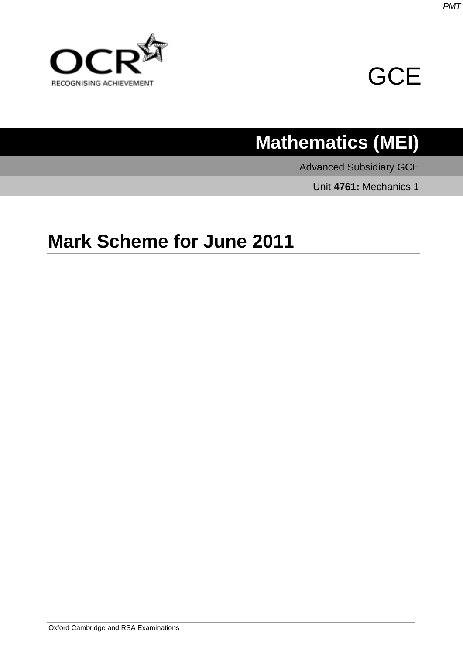



# **Mathematics (MEI)**

Advanced Subsidiary GCE

Unit **4761:** Mechanics 1

## **Mark Scheme for June 2011**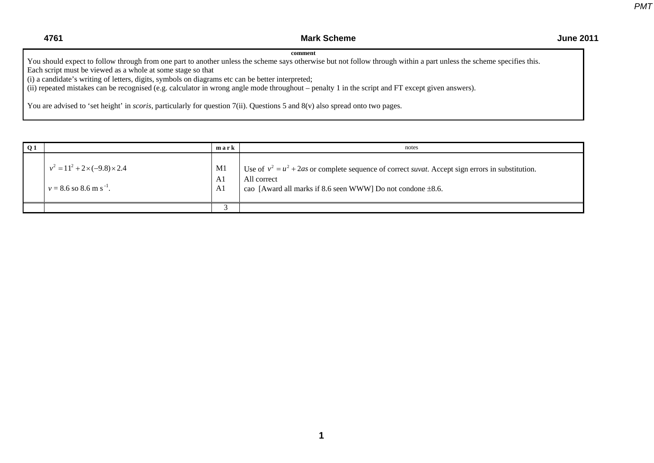| 4761<br><b>Mark Scheme</b>                                                                                                                                                                               | <b>June 2011</b> |
|----------------------------------------------------------------------------------------------------------------------------------------------------------------------------------------------------------|------------------|
| comment                                                                                                                                                                                                  |                  |
| You should expect to follow through from one part to another unless the scheme says otherwise but not follow through within a part unless the scheme specifies this.                                     |                  |
| Each script must be viewed as a whole at some stage so that                                                                                                                                              |                  |
| (i) a candidate's writing of letters, digits, symbols on diagrams etc can be better interpreted;                                                                                                         |                  |
| $\langle \cdot   \cdot \rangle$ are realized in the account of $\langle \cdot   \cdot \rangle$ and interests and and the definition of a set of $\alpha$ and $\Gamma$ $\Gamma$ are realized and $\Gamma$ |                  |

(ii) repeated mistakes can be recognised (e.g. calculator in wrong angle mode throughout – penalty 1 in the script and FT except given answers).

You are advised to 'set height' in *scoris*, particularly for question 7(ii). Questions 5 and 8(v) also spread onto two pages.

| Q <sub>1</sub> |                                                                                   | mark           | notes                                                                                                                                                                                          |
|----------------|-----------------------------------------------------------------------------------|----------------|------------------------------------------------------------------------------------------------------------------------------------------------------------------------------------------------|
|                | $v^2 = 11^2 + 2 \times (-9.8) \times 2.4$<br>$v = 8.6$ so 8.6 m s <sup>-1</sup> . | M1<br>A1<br>A1 | Use of $v^2 = u^2 + 2as$ or complete sequence of correct <i>suvat</i> . Accept sign errors in substitution.<br>All correct<br>cao [Award all marks if 8.6 seen WWW] Do not condone $\pm 8.6$ . |
|                |                                                                                   |                |                                                                                                                                                                                                |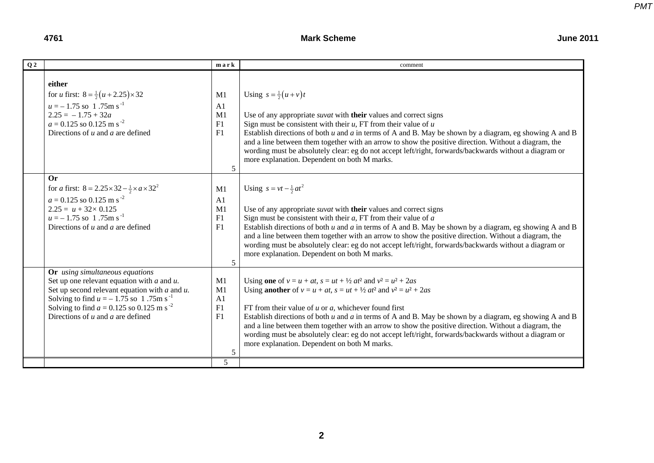#### **4761** Mark Scheme

| Q <sub>2</sub> |                                                                                                                                                                                                                                                                                                     | mark                                        | comment                                                                                                                                                                                                                                                                                                                                                                                                                                                                                                                                                                                                                |
|----------------|-----------------------------------------------------------------------------------------------------------------------------------------------------------------------------------------------------------------------------------------------------------------------------------------------------|---------------------------------------------|------------------------------------------------------------------------------------------------------------------------------------------------------------------------------------------------------------------------------------------------------------------------------------------------------------------------------------------------------------------------------------------------------------------------------------------------------------------------------------------------------------------------------------------------------------------------------------------------------------------------|
|                | either<br>for <i>u</i> first: $8 = \frac{1}{2}(u + 2.25) \times 32$<br>$u = -1.75$ so 1.75m s <sup>-1</sup><br>$2.25 = -1.75 + 32a$<br>$a = 0.125$ so 0.125 m s <sup>-2</sup><br>Directions of $u$ and $a$ are defined                                                                              | M1<br>A1<br>M1<br>F1<br>F1<br>5             | Using $s = \frac{1}{2}(u+v)t$<br>Use of any appropriate <i>suvat</i> with <b>their</b> values and correct signs<br>Sign must be consistent with their $u$ , FT from their value of $u$<br>Establish directions of both $u$ and $a$ in terms of A and B. May be shown by a diagram, eg showing A and B<br>and a line between them together with an arrow to show the positive direction. Without a diagram, the<br>wording must be absolutely clear: eg do not accept left/right, forwards/backwards without a diagram or<br>more explanation. Dependent on both M marks.                                               |
|                | Or<br>for <i>a</i> first: $8 = 2.25 \times 32 - \frac{1}{2} \times a \times 32^2$<br>$a = 0.125$ so 0.125 m s <sup>-2</sup><br>$2.25 = u + 32 \times 0.125$<br>$u = -1.75$ so 1.75m s <sup>-1</sup><br>Directions of $u$ and $a$ are defined                                                        | M1<br>A <sub>1</sub><br>M1<br>F1<br>F1<br>5 | Using $s = vt - \frac{1}{2}at^2$<br>Use of any appropriate <i>suvat</i> with their values and correct signs<br>Sign must be consistent with their $a$ , FT from their value of $a$<br>Establish directions of both $u$ and $a$ in terms of A and B. May be shown by a diagram, eg showing A and B<br>and a line between them together with an arrow to show the positive direction. Without a diagram, the<br>wording must be absolutely clear: eg do not accept left/right, forwards/backwards without a diagram or<br>more explanation. Dependent on both M marks.                                                   |
|                | Or using simultaneous equations<br>Set up one relevant equation with $a$ and $u$ .<br>Set up second relevant equation with $a$ and $u$ .<br>Solving to find $u = -1.75$ so 1.75m s <sup>-1</sup><br>Solving to find $a = 0.125$ so 0.125 m s <sup>-2</sup><br>Directions of $u$ and $a$ are defined | M1<br>M1<br>A1<br>F1<br>F1<br>5             | Using one of $v = u + at$ , $s = ut + \frac{1}{2}at^2$ and $v^2 = u^2 + 2as$<br>Using <b>another</b> of $v = u + at$ , $s = ut + \frac{1}{2}at^2$ and $v^2 = u^2 + 2as$<br>FT from their value of $u$ or $a$ , whichever found first<br>Establish directions of both $u$ and $a$ in terms of A and B. May be shown by a diagram, eg showing A and B<br>and a line between them together with an arrow to show the positive direction. Without a diagram, the<br>wording must be absolutely clear: eg do not accept left/right, forwards/backwards without a diagram or<br>more explanation. Dependent on both M marks. |
|                |                                                                                                                                                                                                                                                                                                     | 5                                           |                                                                                                                                                                                                                                                                                                                                                                                                                                                                                                                                                                                                                        |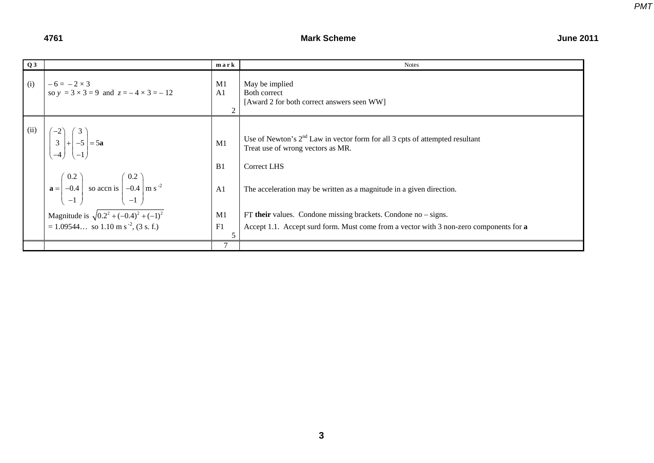| Q3   |                                                                                                                                                                                                  | mark                 | <b>Notes</b>                                                                                                                              |
|------|--------------------------------------------------------------------------------------------------------------------------------------------------------------------------------------------------|----------------------|-------------------------------------------------------------------------------------------------------------------------------------------|
| (i)  | $-6 = -2 \times 3$<br>$\vert$ so $y = 3 \times 3 = 9$ and $z = -4 \times 3 = -12$                                                                                                                | M1<br>A <sub>1</sub> | May be implied<br>Both correct<br>[Award 2 for both correct answers seen WW]                                                              |
| (ii) | $\begin{bmatrix} -2 \\ 3 \\ -4 \end{bmatrix} + \begin{bmatrix} 3 \\ -5 \\ -1 \end{bmatrix} = 5a$                                                                                                 | M1<br>B1             | Use of Newton's $2nd$ Law in vector form for all 3 cpts of attempted resultant<br>Treat use of wrong vectors as MR.<br><b>Correct LHS</b> |
|      | $\mathbf{a} = \begin{pmatrix} 0.2 \\ -0.4 \\ -1 \end{pmatrix}$ so accn is $\begin{pmatrix} 0.2 \\ -0.4 \\ -1 \end{pmatrix}$ m s <sup>-2</sup><br>Magnitude is $\sqrt{0.2^2 + (-0.4)^2 + (-1)^2}$ | A <sub>1</sub><br>M1 | The acceleration may be written as a magnitude in a given direction.<br>FT their values. Condone missing brackets. Condone $no - signs$ . |
|      | $= 1.09544$ so 1.10 m s <sup>-2</sup> , (3 s. f.)                                                                                                                                                | F1                   | Accept 1.1. Accept surd form. Must come from a vector with 3 non-zero components for a                                                    |
|      |                                                                                                                                                                                                  |                      |                                                                                                                                           |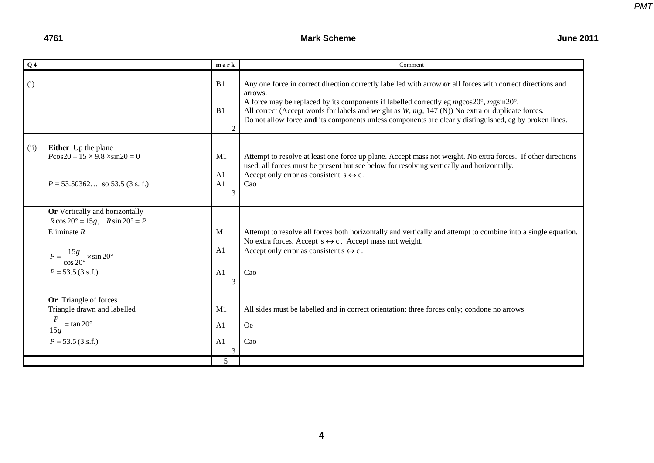#### **4761** Mark Scheme

| Q <sub>4</sub> |                                                                                                                                                                                     | mark                                                     | Comment                                                                                                                                                                                                                                                                                                                                                                                                                                                |
|----------------|-------------------------------------------------------------------------------------------------------------------------------------------------------------------------------------|----------------------------------------------------------|--------------------------------------------------------------------------------------------------------------------------------------------------------------------------------------------------------------------------------------------------------------------------------------------------------------------------------------------------------------------------------------------------------------------------------------------------------|
| (i)            |                                                                                                                                                                                     | B1<br>B1<br>2                                            | Any one force in correct direction correctly labelled with arrow or all forces with correct directions and<br>arrows.<br>A force may be replaced by its components if labelled correctly eg $mg\cos 20^\circ$ , $mgsin 20^\circ$ .<br>All correct (Accept words for labels and weight as $W$ , $mg$ , 147 (N)) No extra or duplicate forces.<br>Do not allow force and its components unless components are clearly distinguished, eg by broken lines. |
| (ii)           | Either Up the plane<br>$P\cos 20 - 15 \times 9.8 \times \sin 20 = 0$<br>$P = 53.50362$ so 53.5 (3 s. f.)                                                                            | M1<br>A <sub>1</sub><br>A <sub>1</sub><br>$\overline{3}$ | Attempt to resolve at least one force up plane. Accept mass not weight. No extra forces. If other directions<br>used, all forces must be present but see below for resolving vertically and horizontally.<br>Accept only error as consistent $s \leftrightarrow c$ .<br>Cao                                                                                                                                                                            |
|                | Or Vertically and horizontally<br>$R\cos 20^\circ = 15g$ , $R\sin 20^\circ = P$<br>Eliminate $R$<br>$P = \frac{15g}{\cos 20^{\circ}} \times \sin 20^{\circ}$<br>$P = 53.5 (3.s.f.)$ | M1<br>A1<br>A <sub>1</sub><br>3                          | Attempt to resolve all forces both horizontally and vertically and attempt to combine into a single equation.<br>No extra forces. Accept $s \leftrightarrow c$ . Accept mass not weight.<br>Accept only error as consistent $s \leftrightarrow c$ .<br>Cao                                                                                                                                                                                             |
|                | Or Triangle of forces<br>Triangle drawn and labelled<br>$\frac{P}{15g}$ = tan 20°<br>$P = 53.5 (3.s.f.)$                                                                            | M <sub>1</sub><br>A <sub>1</sub><br>A1<br>3<br>5         | All sides must be labelled and in correct orientation; three forces only; condone no arrows<br><b>Oe</b><br>Cao                                                                                                                                                                                                                                                                                                                                        |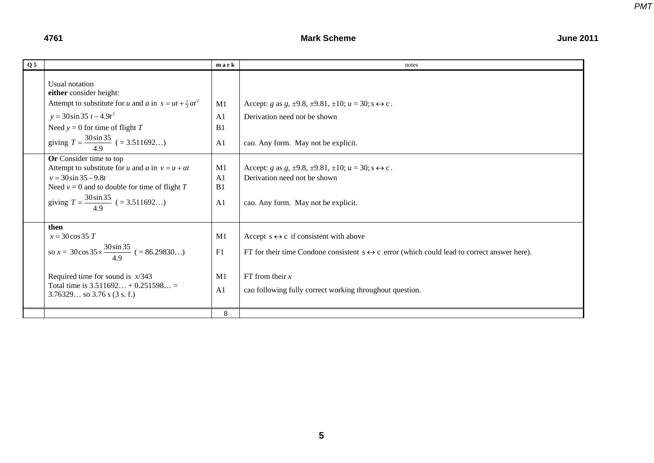#### **4761** Mark Scheme

| Q <sub>5</sub> |                                                                                                                                                                                                                                     | mark                                         | notes                                                                                                                                                                                                                                                 |
|----------------|-------------------------------------------------------------------------------------------------------------------------------------------------------------------------------------------------------------------------------------|----------------------------------------------|-------------------------------------------------------------------------------------------------------------------------------------------------------------------------------------------------------------------------------------------------------|
|                | Usual notation<br>either consider height:<br>Attempt to substitute for u and a in $s = ut + \frac{1}{2}at^2$<br>$y = 30 \sin 35 t - 4.9t^2$<br>Need $y = 0$ for time of flight T<br>giving $T = \frac{30\sin 35}{4.9}$ (= 3.511692) | M1<br>A1<br>B1<br>A1                         | Accept: g as g, $\pm 9.8$ , $\pm 9.81$ , $\pm 10$ ; $u = 30$ ; s $\leftrightarrow c$ .<br>Derivation need not be shown<br>cao. Any form. May not be explicit.                                                                                         |
|                | Or Consider time to top<br>Attempt to substitute for u and a in $v = u + at$<br>$v = 30 \sin 35 - 9.8t$<br>Need $v = 0$ and to double for time of flight T<br>giving $T = \frac{30\sin 35}{4.9}$ (= 3.511692)                       | M1<br>A <sub>1</sub><br>B1<br>A <sub>1</sub> | Accept: <i>g</i> as <i>g</i> , $\pm 9.8$ , $\pm 9.81$ , $\pm 10$ ; $u = 30$ ; s $\leftrightarrow c$ .<br>Derivation need not be shown<br>cao. Any form. May not be explicit.                                                                          |
|                | then<br>$x = 30 \cos 35$ T<br>so $x = 30 \cos 35 \times \frac{30 \sin 35}{49}$ (= 86.29830)<br>Required time for sound is $x/343$<br>Total time is $3.511692 + 0.251598 =$<br>$3.76329$ so $3.76$ s $(3 s. f.)$                     | M1<br>F1<br>M1<br>A1                         | Accept $s \leftrightarrow c$ if consistent with above<br>FT for their time Condone consistent $s \leftrightarrow c$ error (which could lead to correct answer here).<br>FT from their $x$<br>cao following fully correct working throughout question. |
|                |                                                                                                                                                                                                                                     | 8                                            |                                                                                                                                                                                                                                                       |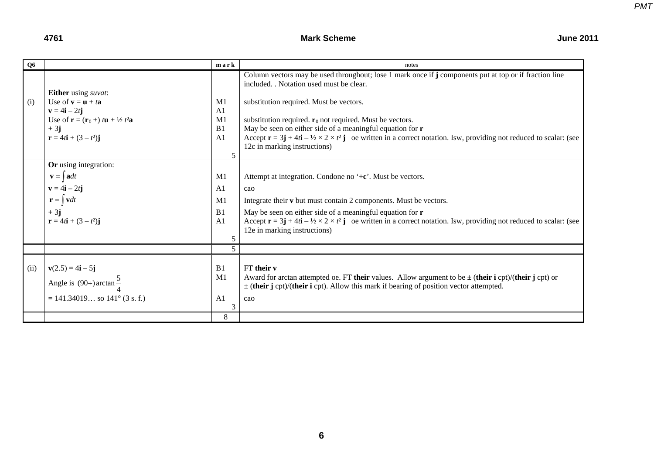#### **June 2011**

#### **4761** Mark Scheme

| Q6   |                                                                                                                                                                                                                                         | mark                                                                | notes                                                                                                                                                                                                                                                                                                                                                                                                                                                                                                                                                              |
|------|-----------------------------------------------------------------------------------------------------------------------------------------------------------------------------------------------------------------------------------------|---------------------------------------------------------------------|--------------------------------------------------------------------------------------------------------------------------------------------------------------------------------------------------------------------------------------------------------------------------------------------------------------------------------------------------------------------------------------------------------------------------------------------------------------------------------------------------------------------------------------------------------------------|
| (i)  | Either using suvat:<br>Use of $\mathbf{v} = \mathbf{u} + t\mathbf{a}$<br>$\mathbf{v} = 4\mathbf{i} - 2t\mathbf{j}$<br>Use of $\mathbf{r} = (\mathbf{r}_0 + i\mathbf{u} + \frac{1}{2} t^2 \mathbf{a})$<br>$+3j$<br>$r = 4ti + (3 - t2)j$ | M <sub>1</sub><br>A <sub>1</sub><br>M1<br>B1<br>A <sub>1</sub><br>5 | Column vectors may be used throughout; lose 1 mark once if j components put at top or if fraction line<br>included. . Notation used must be clear.<br>substitution required. Must be vectors.<br>substitution required. $\mathbf{r}_0$ not required. Must be vectors.<br>May be seen on either side of a meaningful equation for $\mathbf r$<br>Accept $\mathbf{r} = 3\mathbf{j} + 4\mathbf{i} - \frac{1}{2} \times 2 \times \mathbf{r}^2 \mathbf{j}$ oe written in a correct notation. Isw, providing not reduced to scalar: (see<br>12c in marking instructions) |
|      | Or using integration:                                                                                                                                                                                                                   |                                                                     |                                                                                                                                                                                                                                                                                                                                                                                                                                                                                                                                                                    |
|      | $\mathbf{v} =  \mathbf{a} dt $                                                                                                                                                                                                          | M1                                                                  | Attempt at integration. Condone no '+c'. Must be vectors.                                                                                                                                                                                                                                                                                                                                                                                                                                                                                                          |
|      | $\mathbf{v} = 4\mathbf{i} - 2t\mathbf{j}$                                                                                                                                                                                               | A <sub>1</sub>                                                      | cao                                                                                                                                                                                                                                                                                                                                                                                                                                                                                                                                                                |
|      | $\mathbf{r} =  \mathbf{v}dt $                                                                                                                                                                                                           | M1                                                                  | Integrate their v but must contain 2 components. Must be vectors.                                                                                                                                                                                                                                                                                                                                                                                                                                                                                                  |
|      | $+3j$<br>$r = 4ti + (3 - t2)j$                                                                                                                                                                                                          | B <sub>1</sub><br>A <sub>1</sub><br>5                               | May be seen on either side of a meaningful equation for $\mathbf r$<br>Accept $\mathbf{r} = 3\mathbf{j} + 4\mathbf{ri} - \frac{1}{2} \times 2 \times \mathbf{r}^2 \mathbf{j}$ oe written in a correct notation. Is w, providing not reduced to scalar: (see<br>12e in marking instructions)                                                                                                                                                                                                                                                                        |
|      |                                                                                                                                                                                                                                         | 5                                                                   |                                                                                                                                                                                                                                                                                                                                                                                                                                                                                                                                                                    |
| (ii) | $v(2.5) = 4i - 5j$<br>Angle is (90+) arctan $\frac{5}{4}$<br>$= 141.34019$ so $141^{\circ}$ (3 s. f.)                                                                                                                                   | B1<br>M1<br>A <sub>1</sub><br>3                                     | FT their v<br>Award for arctan attempted oe. FT their values. Allow argument to be $\pm$ (their i cpt)/(their j cpt) or<br>$\pm$ (their j cpt)/(their i cpt). Allow this mark if bearing of position vector attempted.<br>cao                                                                                                                                                                                                                                                                                                                                      |
|      |                                                                                                                                                                                                                                         | 8                                                                   |                                                                                                                                                                                                                                                                                                                                                                                                                                                                                                                                                                    |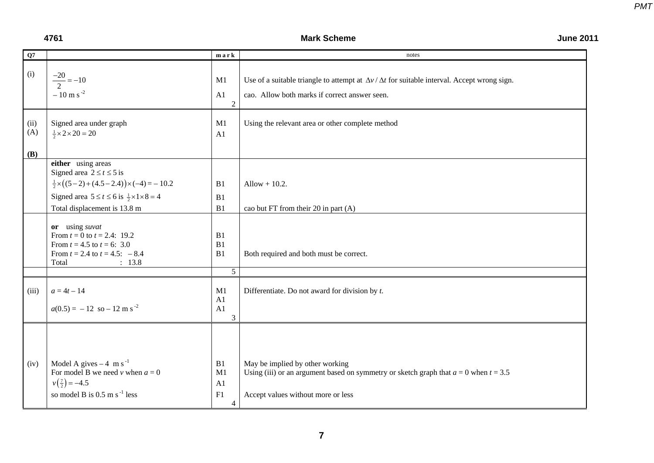#### **4761** Mark Scheme

| Q7                        |                                                                                                                                                                                                                            | mark                                   | notes                                                                                                                                                             |
|---------------------------|----------------------------------------------------------------------------------------------------------------------------------------------------------------------------------------------------------------------------|----------------------------------------|-------------------------------------------------------------------------------------------------------------------------------------------------------------------|
| (i)                       | $\frac{-20}{2} = -10$<br>$-10$ m s <sup>-2</sup>                                                                                                                                                                           | M1<br>A1<br>2                          | Use of a suitable triangle to attempt at $\Delta v / \Delta t$ for suitable interval. Accept wrong sign.<br>cao. Allow both marks if correct answer seen.         |
| (ii)<br>(A)<br><b>(B)</b> | Signed area under graph<br>$\frac{1}{2} \times 2 \times 20 = 20$                                                                                                                                                           | M1<br>A <sub>1</sub>                   | Using the relevant area or other complete method                                                                                                                  |
|                           | either using areas<br>Signed area $2 \le t \le 5$ is<br>$\frac{1}{2} \times ((5-2) + (4.5-2.4)) \times (-4) = -10.2$<br>Signed area $5 \le t \le 6$ is $\frac{1}{2} \times 1 \times 8 = 4$<br>Total displacement is 13.8 m | B1<br>B1<br>B1                         | Allow $+10.2$ .<br>cao but FT from their 20 in part (A)                                                                                                           |
|                           | or using suvat<br>From $t = 0$ to $t = 2.4$ : 19.2<br>From $t = 4.5$ to $t = 6$ : 3.0<br>From $t = 2.4$ to $t = 4.5$ : $-8.4$<br>: 13.8<br>Total                                                                           | B1<br>B1<br>B1<br>$5\overline{)}$      | Both required and both must be correct.                                                                                                                           |
| (iii)                     | $a = 4t - 14$<br>$a(0.5) = -12$ so - 12 m s <sup>-2</sup>                                                                                                                                                                  | M1<br>A1<br>A1<br>3                    | Differentiate. Do not award for division by $t$ .                                                                                                                 |
| (iv)                      | Model A gives $-4$ m s <sup>-1</sup><br>For model B we need v when $a = 0$<br>$v(\frac{7}{2}) = -4.5$<br>so model B is $0.5 \text{ m s}^{-1}$ less                                                                         | B1<br>M1<br>A1<br>F1<br>$\overline{4}$ | May be implied by other working<br>Using (iii) or an argument based on symmetry or sketch graph that $a = 0$ when $t = 3.5$<br>Accept values without more or less |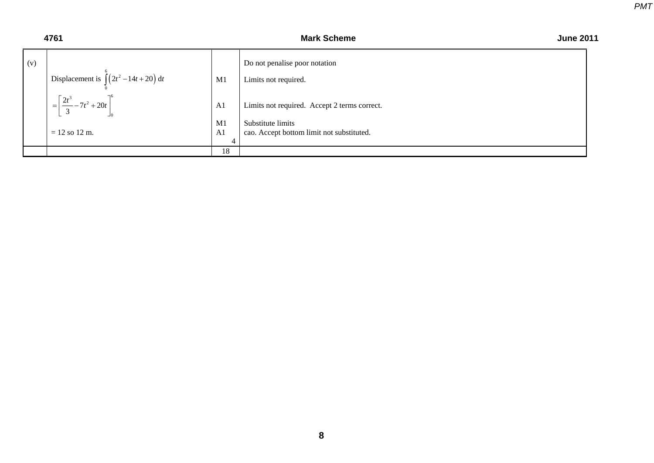|     | 4761                                                |                | <b>Mark Scheme</b>                           | <b>June 2011</b> |
|-----|-----------------------------------------------------|----------------|----------------------------------------------|------------------|
| (v) |                                                     |                | Do not penalise poor notation                |                  |
|     | Displacement is $\int_{0}^{6} (2t^2 - 14t + 20) dt$ | M1             | Limits not required.                         |                  |
|     | $=\left[\frac{2t^3}{3}-7t^2+20t\right]^{6}$         | A <sub>1</sub> | Limits not required. Accept 2 terms correct. |                  |
|     |                                                     | M1             | Substitute limits                            |                  |
|     | $= 12$ so 12 m.                                     | A <sub>1</sub> | cao. Accept bottom limit not substituted.    |                  |
|     |                                                     |                |                                              |                  |
|     |                                                     | 18             |                                              |                  |

**8**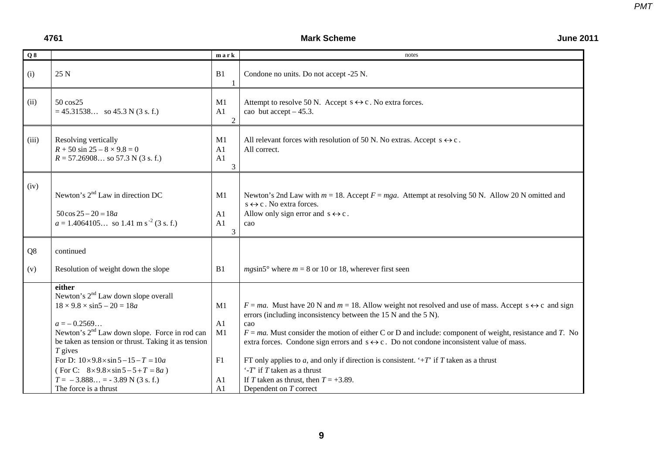| 25 N                                                                                                                                                                                                                                                                                                                                                                                                      | B1<br>$\mathbf{1}$                           | Condone no units. Do not accept -25 N.                                                                                                                                                                                                                                                                                                                                                                                                                                                                                                                                                                                                                    |
|-----------------------------------------------------------------------------------------------------------------------------------------------------------------------------------------------------------------------------------------------------------------------------------------------------------------------------------------------------------------------------------------------------------|----------------------------------------------|-----------------------------------------------------------------------------------------------------------------------------------------------------------------------------------------------------------------------------------------------------------------------------------------------------------------------------------------------------------------------------------------------------------------------------------------------------------------------------------------------------------------------------------------------------------------------------------------------------------------------------------------------------------|
| 50 cos25<br>$= 45.31538$ so 45.3 N (3 s. f.)                                                                                                                                                                                                                                                                                                                                                              | M1<br>A1<br>$\overline{2}$                   | Attempt to resolve 50 N. Accept $s \leftrightarrow c$ . No extra forces.<br>cao but accept $-45.3$ .                                                                                                                                                                                                                                                                                                                                                                                                                                                                                                                                                      |
| Resolving vertically<br>$R + 50 \sin 25 - 8 \times 9.8 = 0$<br>$R = 57.26908$ so 57.3 N (3 s. f.)                                                                                                                                                                                                                                                                                                         | M1<br>A1<br>A1<br>$\overline{3}$             | All relevant forces with resolution of 50 N. No extras. Accept $s \leftrightarrow c$ .<br>All correct.                                                                                                                                                                                                                                                                                                                                                                                                                                                                                                                                                    |
| Newton's 2 <sup>nd</sup> Law in direction DC<br>$50\cos 25 - 20 = 18a$<br>$a = 1.4064105$ so 1.41 m s <sup>-2</sup> (3 s. f.)                                                                                                                                                                                                                                                                             | M1<br>A1<br>A <sub>1</sub><br>3 <sup>1</sup> | Newton's 2nd Law with $m = 18$ . Accept $F = mga$ . Attempt at resolving 50 N. Allow 20 N omitted and<br>$s \leftrightarrow c$ . No extra forces.<br>Allow only sign error and $s \leftrightarrow c$ .<br>cao                                                                                                                                                                                                                                                                                                                                                                                                                                             |
| continued                                                                                                                                                                                                                                                                                                                                                                                                 |                                              |                                                                                                                                                                                                                                                                                                                                                                                                                                                                                                                                                                                                                                                           |
| Resolution of weight down the slope                                                                                                                                                                                                                                                                                                                                                                       | B1                                           | $mgsin5^{\circ}$ where $m = 8$ or 10 or 18, wherever first seen                                                                                                                                                                                                                                                                                                                                                                                                                                                                                                                                                                                           |
| either<br>Newton's 2 <sup>nd</sup> Law down slope overall<br>$18 \times 9.8 \times \sin 5 - 20 = 18a$<br>$a = -0.2569$<br>Newton's 2 <sup>nd</sup> Law down slope. Force in rod can<br>be taken as tension or thrust. Taking it as tension<br>$T$ gives<br>For D: $10 \times 9.8 \times \sin 5 - 15 - T = 10a$<br>(For C: $8 \times 9.8 \times \sin 5 - 5 + T = 8a$ )<br>$T = -3.888 = -3.89$ N (3 s. f.) | M1<br>A1<br>M1<br>F1<br>A <sub>1</sub>       | $F = ma$ . Must have 20 N and $m = 18$ . Allow weight not resolved and use of mass. Accept $s \leftrightarrow c$ and sign<br>errors (including inconsistency between the $15 N$ and the $5 N$ ).<br>cao<br>$F = ma$ . Must consider the motion of either C or D and include: component of weight, resistance and T. No<br>extra forces. Condone sign errors and $s \leftrightarrow c$ . Do not condone inconsistent value of mass.<br>FT only applies to $a$ , and only if direction is consistent. '+T' if T taken as a thrust<br>$\cdot$ - <i>T</i> if <i>T</i> taken as a thrust<br>If T taken as thrust, then $T = +3.89$ .<br>Dependent on T correct |
|                                                                                                                                                                                                                                                                                                                                                                                                           | The force is a thrust                        | A <sub>1</sub>                                                                                                                                                                                                                                                                                                                                                                                                                                                                                                                                                                                                                                            |